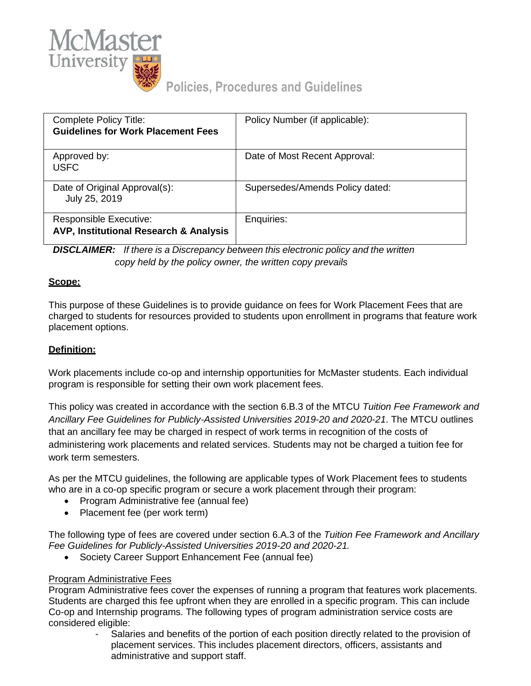

# **Policies, Procedures and Guidelines**

| Complete Policy Title:<br><b>Guidelines for Work Placement Fees</b>     | Policy Number (if applicable):  |
|-------------------------------------------------------------------------|---------------------------------|
| Approved by:<br><b>USFC</b>                                             | Date of Most Recent Approval:   |
| Date of Original Approval(s):<br>July 25, 2019                          | Supersedes/Amends Policy dated: |
| <b>Responsible Executive:</b><br>AVP, Institutional Research & Analysis | Enquiries:                      |

*DISCLAIMER: If there is a Discrepancy between this electronic policy and the written copy held by the policy owner, the written copy prevails*

### **Scope:**

This purpose of these Guidelines is to provide guidance on fees for Work Placement Fees that are charged to students for resources provided to students upon enrollment in programs that feature work placement options.

## **Definition:**

Work placements include co-op and internship opportunities for McMaster students. Each individual program is responsible for setting their own work placement fees.

This policy was created in accordance with the section 6.B.3 of the MTCU *Tuition Fee Framework and Ancillary Fee Guidelines for Publicly-Assisted Universities 2019-20 and 2020-21*. The MTCU outlines that an ancillary fee may be charged in respect of work terms in recognition of the costs of administering work placements and related services. Students may not be charged a tuition fee for work term semesters.

As per the MTCU guidelines, the following are applicable types of Work Placement fees to students who are in a co-op specific program or secure a work placement through their program:

- Program Administrative fee (annual fee)
- Placement fee (per work term)

The following type of fees are covered under section 6.A.3 of the *Tuition Fee Framework and Ancillary Fee Guidelines for Publicly-Assisted Universities 2019-20 and 2020-21.*

Society Career Support Enhancement Fee (annual fee)

#### Program Administrative Fees

Program Administrative fees cover the expenses of running a program that features work placements. Students are charged this fee upfront when they are enrolled in a specific program. This can include Co-op and Internship programs. The following types of program administration service costs are considered eligible:

Salaries and benefits of the portion of each position directly related to the provision of placement services. This includes placement directors, officers, assistants and administrative and support staff.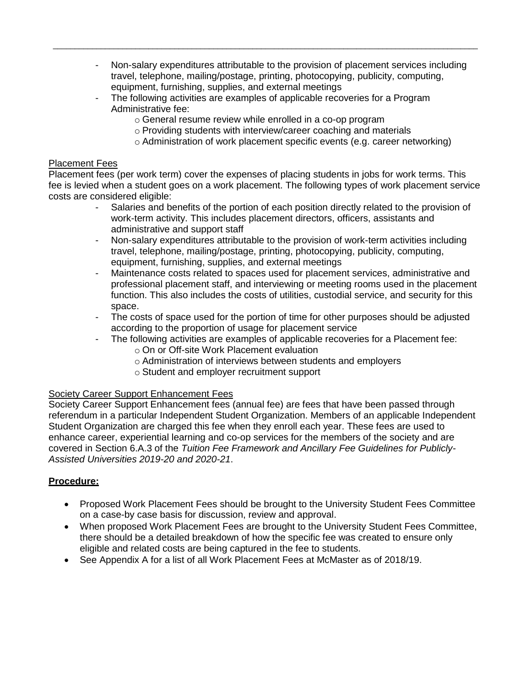- Non-salary expenditures attributable to the provision of placement services including travel, telephone, mailing/postage, printing, photocopying, publicity, computing, equipment, furnishing, supplies, and external meetings
- The following activities are examples of applicable recoveries for a Program Administrative fee:

\_\_\_\_\_\_\_\_\_\_\_\_\_\_\_\_\_\_\_\_\_\_\_\_\_\_\_\_\_\_\_\_\_\_\_\_\_\_\_\_\_\_\_\_\_\_\_\_\_\_\_\_\_\_\_\_\_\_\_\_\_\_\_\_\_\_\_\_\_\_\_\_\_\_\_\_\_\_\_\_\_\_\_\_\_\_\_\_\_\_\_\_\_\_\_\_\_\_

- o General resume review while enrolled in a co-op program
- o Providing students with interview/career coaching and materials
- o Administration of work placement specific events (e.g. career networking)

#### Placement Fees

Placement fees (per work term) cover the expenses of placing students in jobs for work terms. This fee is levied when a student goes on a work placement. The following types of work placement service costs are considered eligible:

- Salaries and benefits of the portion of each position directly related to the provision of work-term activity. This includes placement directors, officers, assistants and administrative and support staff
- Non-salary expenditures attributable to the provision of work-term activities including travel, telephone, mailing/postage, printing, photocopying, publicity, computing, equipment, furnishing, supplies, and external meetings
- Maintenance costs related to spaces used for placement services, administrative and professional placement staff, and interviewing or meeting rooms used in the placement function. This also includes the costs of utilities, custodial service, and security for this space.
- The costs of space used for the portion of time for other purposes should be adjusted according to the proportion of usage for placement service
- The following activities are examples of applicable recoveries for a Placement fee:
	- o On or Off-site Work Placement evaluation
	- o Administration of interviews between students and employers
	- o Student and employer recruitment support

#### Society Career Support Enhancement Fees

Society Career Support Enhancement fees (annual fee) are fees that have been passed through referendum in a particular Independent Student Organization. Members of an applicable Independent Student Organization are charged this fee when they enroll each year. These fees are used to enhance career, experiential learning and co-op services for the members of the society and are covered in Section 6.A.3 of the *Tuition Fee Framework and Ancillary Fee Guidelines for Publicly-Assisted Universities 2019-20 and 2020-21*.

#### **Procedure:**

- Proposed Work Placement Fees should be brought to the University Student Fees Committee on a case-by case basis for discussion, review and approval.
- When proposed Work Placement Fees are brought to the University Student Fees Committee, there should be a detailed breakdown of how the specific fee was created to ensure only eligible and related costs are being captured in the fee to students.
- See Appendix A for a list of all Work Placement Fees at McMaster as of 2018/19.